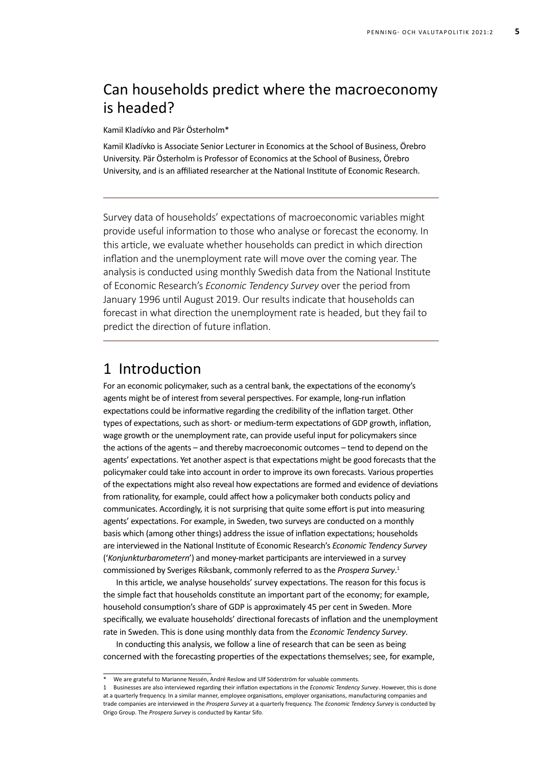# Can households predict where the macroeconomy is headed?

Kamil Kladívko and Pär Österholm\*

Kamil Kladívko is Associate Senior Lecturer in Economics at the School of Business, Örebro University. Pär Österholm is Professor of Economics at the School of Business, Örebro University, and is an affiliated researcher at the National Institute of Economic Research.

Survey data of households' expectations of macroeconomic variables might provide useful information to those who analyse or forecast the economy. In this article, we evaluate whether households can predict in which direction inflation and the unemployment rate will move over the coming year. The analysis is conducted using monthly Swedish data from the National Institute of Economic Research's *Economic Tendency Survey* over the period from January 1996 until August 2019. Our results indicate that households can forecast in what direction the unemployment rate is headed, but they fail to predict the direction of future inflation.

#### 1 Introduction

For an economic policymaker, such as a central bank, the expectations of the economy's agents might be of interest from several perspectives. For example, long-run inflation expectations could be informative regarding the credibility of the inflation target. Other types of expectations, such as short- or medium-term expectations of GDP growth, inflation, wage growth or the unemployment rate, can provide useful input for policymakers since the actions of the agents – and thereby macroeconomic outcomes – tend to depend on the agents' expectations. Yet another aspect is that expectations might be good forecasts that the policymaker could take into account in order to improve its own forecasts. Various properties of the expectations might also reveal how expectations are formed and evidence of deviations from rationality, for example, could affect how a policymaker both conducts policy and communicates. Accordingly, it is not surprising that quite some effort is put into measuring agents' expectations. For example, in Sweden, two surveys are conducted on a monthly basis which (among other things) address the issue of inflation expectations; households are interviewed in the National Institute of Economic Research's *Economic Tendency Survey* ('*Konjunkturbarometern*') and money-market participants are interviewed in a survey commissioned by Sveriges Riksbank, commonly referred to as the *Prospera Survey*. 1

In this article, we analyse households' survey expectations. The reason for this focus is the simple fact that households constitute an important part of the economy; for example, household consumption's share of GDP is approximately 45 per cent in Sweden. More specifically, we evaluate households' directional forecasts of inflation and the unemployment rate in Sweden. This is done using monthly data from the *Economic Tendency Survey*.

In conducting this analysis, we follow a line of research that can be seen as being concerned with the forecasting properties of the expectations themselves; see, for example,

<sup>\*</sup> We are grateful to Marianne Nessén, André Reslow and Ulf Söderström for valuable comments.

<sup>1</sup> Businesses are also interviewed regarding their inflation expectations in the *Economic Tendency Survey*. However, this is done at a quarterly frequency. In a similar manner, employee organisations, employer organisations, manufacturing companies and trade companies are interviewed in the *Prospera Survey* at a quarterly frequency. The *Economic Tendency Survey* is conducted by Origo Group. The *Prospera Survey* is conducted by Kantar Sifo.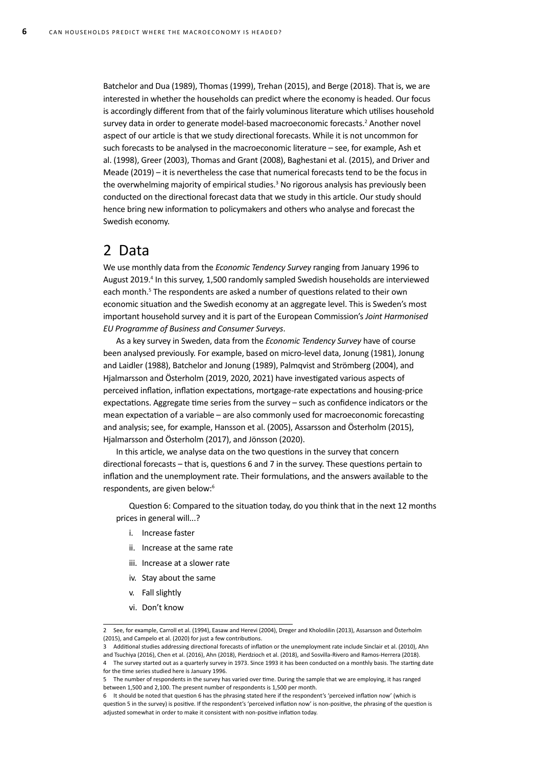Batchelor and Dua (1989), Thomas (1999), Trehan (2015), and Berge (2018). That is, we are interested in whether the households can predict where the economy is headed. Our focus is accordingly different from that of the fairly voluminous literature which utilises household survey data in order to generate model-based macroeconomic forecasts.<sup>2</sup> Another novel aspect of our article is that we study directional forecasts. While it is not uncommon for such forecasts to be analysed in the macroeconomic literature – see, for example, Ash et al. (1998), Greer (2003), Thomas and Grant (2008), Baghestani et al. (2015), and Driver and Meade (2019) – it is nevertheless the case that numerical forecasts tend to be the focus in the overwhelming majority of empirical studies.<sup>3</sup> No rigorous analysis has previously been conducted on the directional forecast data that we study in this article. Our study should hence bring new information to policymakers and others who analyse and forecast the Swedish economy.

#### 2 Data

We use monthly data from the *Economic Tendency Survey* ranging from January 1996 to August 2019.<sup>4</sup> In this survey, 1,500 randomly sampled Swedish households are interviewed each month.<sup>5</sup> The respondents are asked a number of questions related to their own economic situation and the Swedish economy at an aggregate level. This is Sweden's most important household survey and it is part of the European Commission's *Joint Harmonised EU Programme of Business and Consumer Surveys*.

As a key survey in Sweden, data from the *Economic Tendency Survey* have of course been analysed previously. For example, based on micro-level data, Jonung (1981), Jonung and Laidler (1988), Batchelor and Jonung (1989), Palmqvist and Strömberg (2004), and Hjalmarsson and Österholm (2019, 2020, 2021) have investigated various aspects of perceived inflation, inflation expectations, mortgage-rate expectations and housing-price expectations. Aggregate time series from the survey – such as confidence indicators or the mean expectation of a variable – are also commonly used for macroeconomic forecasting and analysis; see, for example, Hansson et al. (2005), Assarsson and Österholm (2015), Hjalmarsson and Österholm (2017), and Jönsson (2020).

In this article, we analyse data on the two questions in the survey that concern directional forecasts – that is, questions 6 and 7 in the survey. These questions pertain to inflation and the unemployment rate. Their formulations, and the answers available to the respondents, are given below:<sup>6</sup>

Question 6: Compared to the situation today, do you think that in the next 12 months prices in general will...?

- i. Increase faster
- ii. Increase at the same rate
- iii. Increase at a slower rate
- iv. Stay about the same
- v. Fall slightly
- vi. Don't know

<sup>2</sup> See, for example, Carroll et al. (1994), Easaw and Herevi (2004), Dreger and Kholodilin (2013), Assarsson and Österholm (2015), and Campelo et al. (2020) for just a few contributions.

<sup>3</sup> Additional studies addressing directional forecasts of inflation or the unemployment rate include Sinclair et al. (2010), Ahn

and Tsuchiya (2016), Chen et al. (2016), Ahn (2018), Pierdzioch et al. (2018), and Sosvilla-Rivero and Ramos-Herrera (2018). 4 The survey started out as a quarterly survey in 1973. Since 1993 it has been conducted on a monthly basis. The starting date for the time series studied here is January 1996.

<sup>5</sup> The number of respondents in the survey has varied over time. During the sample that we are employing, it has ranged between 1,500 and 2,100. The present number of respondents is 1,500 per month.

<sup>6</sup> It should be noted that question 6 has the phrasing stated here if the respondent's 'perceived inflation now' (which is question 5 in the survey) is positive. If the respondent's 'perceived inflation now' is non-positive, the phrasing of the question is adjusted somewhat in order to make it consistent with non-positive inflation today.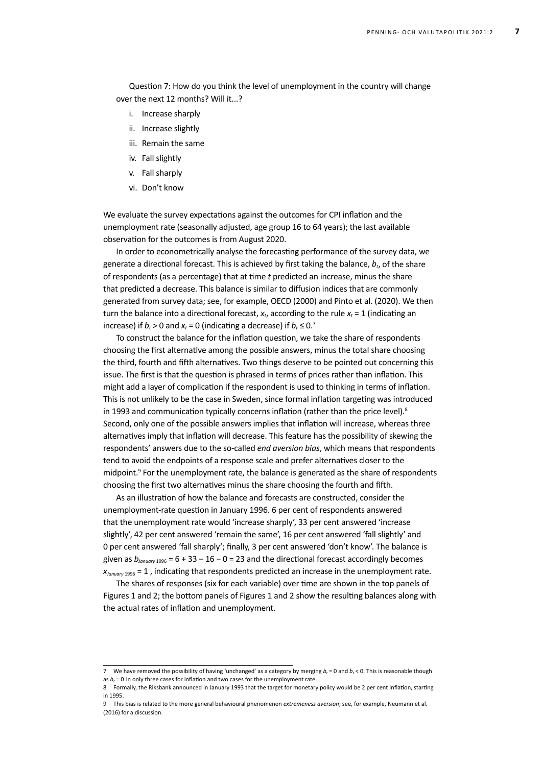Question 7: How do you think the level of unemployment in the country will change over the next 12 months? Will it...?

- i. Increase sharply
- ii. Increase slightly
- iii. Remain the same
- iv. Fall slightly
- v. Fall sharply
- vi. Don't know

We evaluate the survey expectations against the outcomes for CPI inflation and the unemployment rate (seasonally adjusted, age group 16 to 64 years); the last available observation for the outcomes is from August 2020.

In order to econometrically analyse the forecasting performance of the survey data, we generate a directional forecast. This is achieved by first taking the balance,  $b_t$ , of the share of respondents (as a percentage) that at time *t* predicted an increase, minus the share that predicted a decrease. This balance is similar to diffusion indices that are commonly generated from survey data; see, for example, OECD (2000) and Pinto et al. (2020). We then turn the balance into a directional forecast,  $x_t$ , according to the rule  $x_t = 1$  (indicating an increase) if  $b_t > 0$  and  $x_t = 0$  (indicating a decrease) if  $b_t \leq 0$ <sup>7</sup>

To construct the balance for the inflation question, we take the share of respondents choosing the first alternative among the possible answers, minus the total share choosing the third, fourth and fifth alternatives. Two things deserve to be pointed out concerning this issue. The first is that the question is phrased in terms of prices rather than inflation. This might add a layer of complication if the respondent is used to thinking in terms of inflation. This is not unlikely to be the case in Sweden, since formal inflation targeting was introduced in 1993 and communication typically concerns inflation (rather than the price level).<sup>8</sup> Second, only one of the possible answers implies that inflation will increase, whereas three alternatives imply that inflation will decrease. This feature has the possibility of skewing the respondents' answers due to the so-called *end aversion bias*, which means that respondents tend to avoid the endpoints of a response scale and prefer alternatives closer to the midpoint.<sup>9</sup> For the unemployment rate, the balance is generated as the share of respondents choosing the first two alternatives minus the share choosing the fourth and fifth.

As an illustration of how the balance and forecasts are constructed, consider the unemployment-rate question in January 1996. 6 per cent of respondents answered that the unemployment rate would 'increase sharply', 33 per cent answered 'increase slightly', 42 per cent answered 'remain the same', 16 per cent answered 'fall slightly' and 0 per cent answered 'fall sharply'; finally, 3 per cent answered 'don't know'. The balance is given as *bJanuary* 1996 = 6 + 33 − 16 − 0 = 23 and the directional forecast accordingly becomes *X<sub>January* 1996</sub> = 1, indicating that respondents predicted an increase in the unemployment rate.

The shares of responses (six for each variable) over time are shown in the top panels of Figures 1 and 2; the bottom panels of Figures 1 and 2 show the resulting balances along with the actual rates of inflation and unemployment.

<sup>7</sup> We have removed the possibility of having 'unchanged' as a category by merging  $b_t$  = 0 and  $b_t$  < 0. This is reasonable though as  $b_t$  = 0 in only three cases for inflation and two cases for the unemployment rate.

<sup>8</sup> Formally, the Riksbank announced in January 1993 that the target for monetary policy would be 2 per cent inflation, starting in 1995.

<sup>9</sup> This bias is related to the more general behavioural phenomenon *extremeness aversion*; see, for example, Neumann et al. (2016) for a discussion.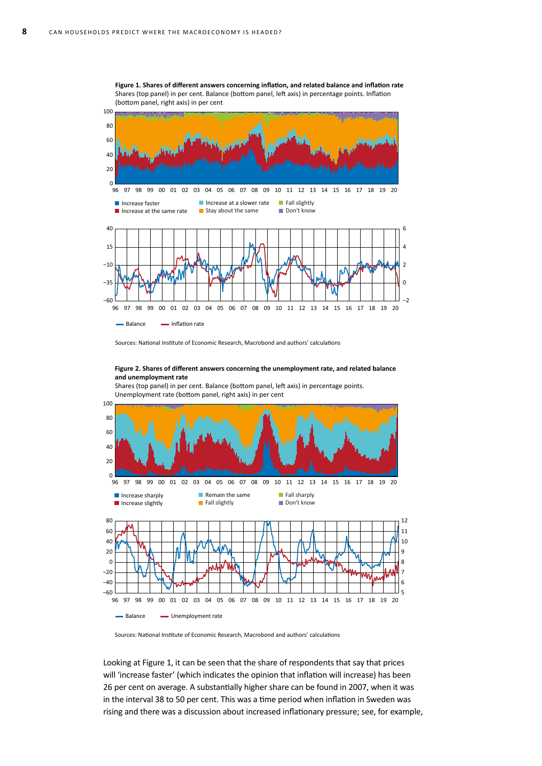

**Figure 1. Shares of different answers concerning inflation, and related balance and inflation rate** Shares (top panel) in per cent. Balance (bottom panel, left axis) in percentage points. Inflation (bottom panel, right axis) in per cent

Sources: National Institute of Economic Research, Macrobond and authors' calculations

#### **Figure 2. Shares of different answers concerning the unemployment rate, and related balance and unemployment rate**

Shares (top panel) in per cent. Balance (bottom panel, left axis) in percentage points. Unemployment rate (bottom panel, right axis) in per cent



Sources: National Institute of Economic Research, Macrobond and authors' calculations

Looking at Figure 1, it can be seen that the share of respondents that say that prices will 'increase faster' (which indicates the opinion that inflation will increase) has been 26 per cent on average. A substantially higher share can be found in 2007, when it was in the interval 38 to 50 per cent. This was a time period when inflation in Sweden was rising and there was a discussion about increased inflationary pressure; see, for example,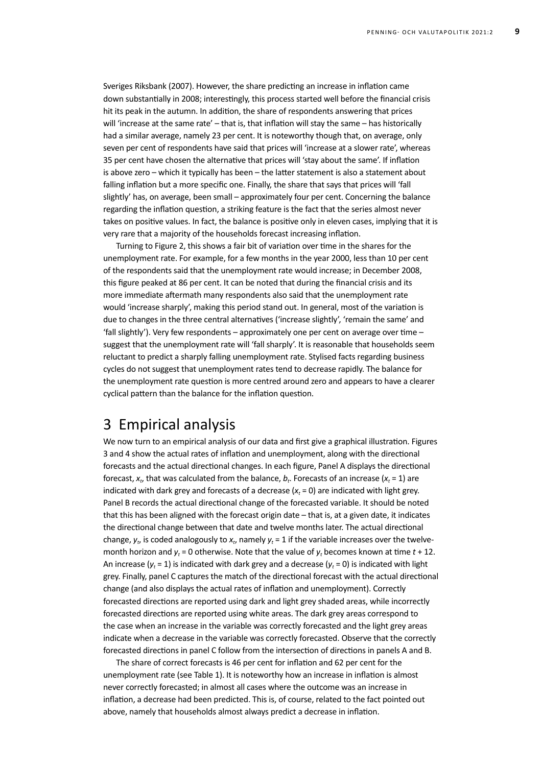Sveriges Riksbank (2007). However, the share predicting an increase in inflation came down substantially in 2008; interestingly, this process started well before the financial crisis hit its peak in the autumn. In addition, the share of respondents answering that prices will 'increase at the same rate' – that is, that inflation will stay the same – has historically had a similar average, namely 23 per cent. It is noteworthy though that, on average, only seven per cent of respondents have said that prices will 'increase at a slower rate', whereas 35 per cent have chosen the alternative that prices will 'stay about the same'. If inflation is above zero – which it typically has been – the latter statement is also a statement about falling inflation but a more specific one. Finally, the share that says that prices will 'fall slightly' has, on average, been small – approximately four per cent. Concerning the balance regarding the inflation question, a striking feature is the fact that the series almost never takes on positive values. In fact, the balance is positive only in eleven cases, implying that it is very rare that a majority of the households forecast increasing inflation.

Turning to Figure 2, this shows a fair bit of variation over time in the shares for the unemployment rate. For example, for a few months in the year 2000, less than 10 per cent of the respondents said that the unemployment rate would increase; in December 2008, this figure peaked at 86 per cent. It can be noted that during the financial crisis and its more immediate aftermath many respondents also said that the unemployment rate would 'increase sharply', making this period stand out. In general, most of the variation is due to changes in the three central alternatives ('increase slightly', 'remain the same' and 'fall slightly'). Very few respondents – approximately one per cent on average over time – suggest that the unemployment rate will 'fall sharply'. It is reasonable that households seem reluctant to predict a sharply falling unemployment rate. Stylised facts regarding business cycles do not suggest that unemployment rates tend to decrease rapidly. The balance for the unemployment rate question is more centred around zero and appears to have a clearer cyclical pattern than the balance for the inflation question.

#### 3 Empirical analysis

We now turn to an empirical analysis of our data and first give a graphical illustration. Figures 3 and 4 show the actual rates of inflation and unemployment, along with the directional forecasts and the actual directional changes. In each figure, Panel A displays the directional forecast,  $x_t$ , that was calculated from the balance,  $b_t$ . Forecasts of an increase ( $x_t = 1$ ) are indicated with dark grey and forecasts of a decrease  $(x_t = 0)$  are indicated with light grey. Panel B records the actual directional change of the forecasted variable. It should be noted that this has been aligned with the forecast origin date – that is, at a given date, it indicates the directional change between that date and twelve months later. The actual directional change,  $y_t$ , is coded analogously to  $x_t$ , namely  $y_t = 1$  if the variable increases over the twelvemonth horizon and  $y_t = 0$  otherwise. Note that the value of  $y_t$  becomes known at time  $t + 12$ . An increase ( $y_t = 1$ ) is indicated with dark grey and a decrease ( $y_t = 0$ ) is indicated with light grey. Finally, panel C captures the match of the directional forecast with the actual directional change (and also displays the actual rates of inflation and unemployment). Correctly forecasted directions are reported using dark and light grey shaded areas, while incorrectly forecasted directions are reported using white areas. The dark grey areas correspond to the case when an increase in the variable was correctly forecasted and the light grey areas indicate when a decrease in the variable was correctly forecasted. Observe that the correctly forecasted directions in panel C follow from the intersection of directions in panels A and B.

The share of correct forecasts is 46 per cent for inflation and 62 per cent for the unemployment rate (see Table 1). It is noteworthy how an increase in inflation is almost never correctly forecasted; in almost all cases where the outcome was an increase in inflation, a decrease had been predicted. This is, of course, related to the fact pointed out above, namely that households almost always predict a decrease in inflation.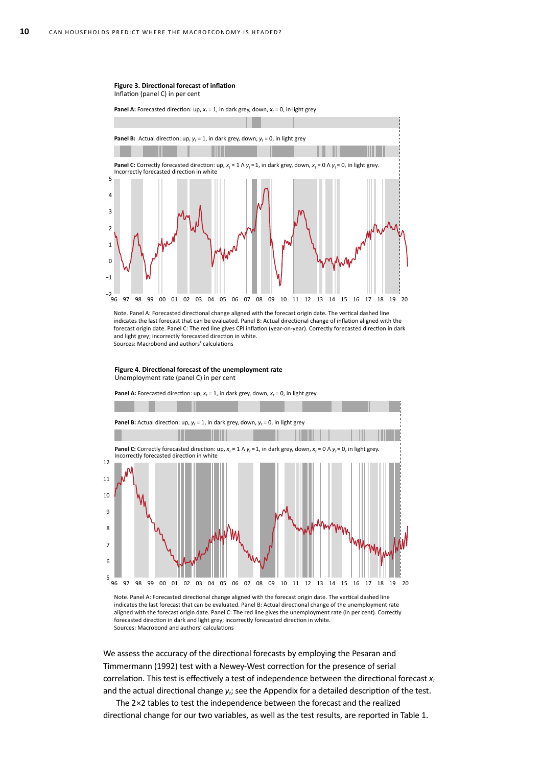#### **Figure 3. Directional forecast of inflation**

Inflation (panel C) in per cent

**Panel A:** Forecasted direction: up,  $x_t = 1$ , in dark grey, down,  $x_t = 0$ , in light grey



Note. Panel A: Forecasted directional change aligned with the forecast origin date. The vertical dashed line indicates the last forecast that can be evaluated. Panel B: Actual directional change of inflation aligned with the forecast origin date. Panel C: The red line gives CPI inflation (year-on-year). Correctly forecasted direction in dark and light grey; incorrectly forecasted direction in white. Sources: Macrobond and authors' calculations

**Figure 4. Directional forecast of the unemployment rate** Unemployment rate (panel C) in per cent

**Panel A:** Forecasted direction: up,  $x_t = 1$ , in dark grey, down,  $x_t = 0$ , in light grey



Note. Panel A: Forecasted directional change aligned with the forecast origin date. The vertical dashed line indicates the last forecast that can be evaluated. Panel B: Actual directional change of the unemployment rate aligned with the forecast origin date. Panel C: The red line gives the unemployment rate (in per cent). Correctly forecasted direction in dark and light grey; incorrectly forecasted direction in white. Sources: Macrobond and authors' calculations

We assess the accuracy of the directional forecasts by employing the Pesaran and Timmermann (1992) test with a Newey-West correction for the presence of serial correlation. This test is effectively a test of independence between the directional forecast *xt* and the actual directional change  $y_t$ ; see the Appendix for a detailed description of the test.

The 2×2 tables to test the independence between the forecast and the realized directional change for our two variables, as well as the test results, are reported in Table 1.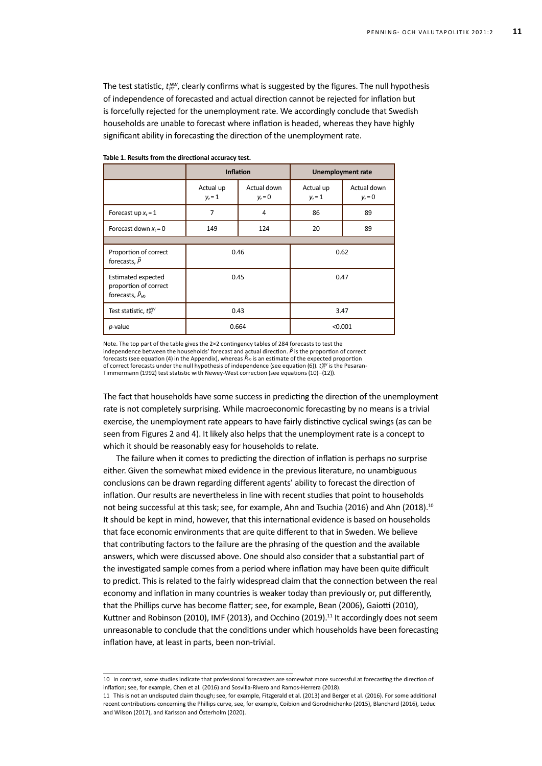The test statistic,  $t_{\text{PT}}^{\text{MW}}$ , clearly confirms what is suggested by the figures. The null hypothesis of independence of forecasted and actual direction cannot be rejected for inflation but is forcefully rejected for the unemployment rate. We accordingly conclude that Swedish households are unable to forecast where inflation is headed, whereas they have highly significant ability in forecasting the direction of the unemployment rate.

|                                                                          | <b>Inflation</b>       |                          | <b>Unemployment rate</b> |                          |
|--------------------------------------------------------------------------|------------------------|--------------------------|--------------------------|--------------------------|
|                                                                          | Actual up<br>$y_t = 1$ | Actual down<br>$y_t = 0$ | Actual up<br>$y_t = 1$   | Actual down<br>$y_t = 0$ |
| Forecast up $x_t = 1$                                                    | 7                      | 4                        | 86                       | 89                       |
| Forecast down $x_t = 0$                                                  | 149                    | 124                      | 20                       | 89                       |
|                                                                          |                        |                          |                          |                          |
| Proportion of correct<br>forecasts, $\hat{P}$                            | 0.46                   |                          | 0.62                     |                          |
| Estimated expected<br>proportion of correct<br>forecasts, $\hat{P}_{H0}$ | 0.45                   |                          | 0.47                     |                          |
| Test statistic, $t_{rr}^{NW}$                                            | 0.43                   |                          | 3.47                     |                          |
| $p$ -value                                                               | 0.664                  |                          | < 0.001                  |                          |

**Table 1. Results from the directional accuracy test.**

Note. The top part of the table gives the 2×2 contingency tables of 284 forecasts to test the independence between the households' forecast and actual direction.  $\hat{P}$  is the proportion of correct forecasts (see equation (4) in the Appendix), whereas  $\hat{P}_{h0}$  is an estimate of the expected proportion of correct forecasts under the null hypothesis of independence (see equation (6)).  $t_F^{aw}$  is the Pesaran-Timmermann (1992) test statistic with Newey-West correction (see equations (10)–(12)).

The fact that households have some success in predicting the direction of the unemployment rate is not completely surprising. While macroeconomic forecasting by no means is a trivial exercise, the unemployment rate appears to have fairly distinctive cyclical swings (as can be seen from Figures 2 and 4). It likely also helps that the unemployment rate is a concept to which it should be reasonably easy for households to relate.

The failure when it comes to predicting the direction of inflation is perhaps no surprise either. Given the somewhat mixed evidence in the previous literature, no unambiguous conclusions can be drawn regarding different agents' ability to forecast the direction of inflation. Our results are nevertheless in line with recent studies that point to households not being successful at this task; see, for example, Ahn and Tsuchia (2016) and Ahn (2018).<sup>10</sup> It should be kept in mind, however, that this international evidence is based on households that face economic environments that are quite different to that in Sweden. We believe that contributing factors to the failure are the phrasing of the question and the available answers, which were discussed above. One should also consider that a substantial part of the investigated sample comes from a period where inflation may have been quite difficult to predict. This is related to the fairly widespread claim that the connection between the real economy and inflation in many countries is weaker today than previously or, put differently, that the Phillips curve has become flatter; see, for example, Bean (2006), Gaiotti (2010), Kuttner and Robinson (2010), IMF (2013), and Occhino (2019).<sup>11</sup> It accordingly does not seem unreasonable to conclude that the conditions under which households have been forecasting inflation have, at least in parts, been non-trivial.

<sup>10</sup> In contrast, some studies indicate that professional forecasters are somewhat more successful at forecasting the direction of inflation; see, for example, Chen et al. (2016) and Sosvilla-Rivero and Ramos-Herrera (2018).

<sup>11</sup> This is not an undisputed claim though; see, for example, Fitzgerald et al. (2013) and Berger et al. (2016). For some additional recent contributions concerning the Phillips curve, see, for example, Coibion and Gorodnichenko (2015), Blanchard (2016), Leduc and Wilson (2017), and Karlsson and Österholm (2020).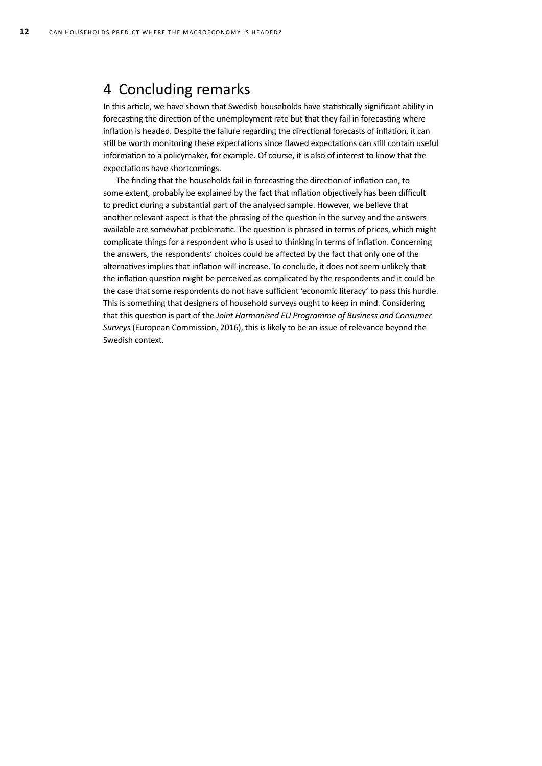### 4 Concluding remarks

In this article, we have shown that Swedish households have statistically significant ability in forecasting the direction of the unemployment rate but that they fail in forecasting where inflation is headed. Despite the failure regarding the directional forecasts of inflation, it can still be worth monitoring these expectations since flawed expectations can still contain useful information to a policymaker, for example. Of course, it is also of interest to know that the expectations have shortcomings.

The finding that the households fail in forecasting the direction of inflation can, to some extent, probably be explained by the fact that inflation objectively has been difficult to predict during a substantial part of the analysed sample. However, we believe that another relevant aspect is that the phrasing of the question in the survey and the answers available are somewhat problematic. The question is phrased in terms of prices, which might complicate things for a respondent who is used to thinking in terms of inflation. Concerning the answers, the respondents' choices could be affected by the fact that only one of the alternatives implies that inflation will increase. To conclude, it does not seem unlikely that the inflation question might be perceived as complicated by the respondents and it could be the case that some respondents do not have sufficient 'economic literacy' to pass this hurdle. This is something that designers of household surveys ought to keep in mind. Considering that this question is part of the *Joint Harmonised EU Programme of Business and Consumer Surveys* (European Commission, 2016), this is likely to be an issue of relevance beyond the Swedish context.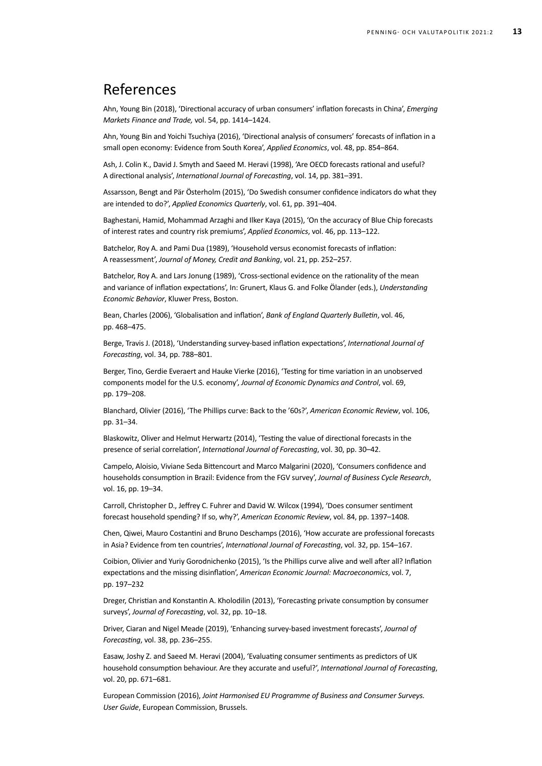## References

Ahn, Young Bin (2018), 'Directional accuracy of urban consumers' inflation forecasts in China', *Emerging Markets Finance and Trade,* vol. 54, pp. 1414–1424.

Ahn, Young Bin and Yoichi Tsuchiya (2016), 'Directional analysis of consumers' forecasts of inflation in a small open economy: Evidence from South Korea', *Applied Economics*, vol. 48, pp. 854–864.

Ash, J. Colin K., David J. Smyth and Saeed M. Heravi (1998), 'Are OECD forecasts rational and useful? A directional analysis', *International Journal of Forecasting*, vol. 14, pp. 381–391.

Assarsson, Bengt and Pär Österholm (2015), 'Do Swedish consumer confidence indicators do what they are intended to do?', *Applied Economics Quarterly*, vol. 61, pp. 391–404.

Baghestani, Hamid, Mohammad Arzaghi and Ilker Kaya (2015), 'On the accuracy of Blue Chip forecasts of interest rates and country risk premiums', *Applied Economics*, vol. 46, pp. 113–122.

Batchelor, Roy A. and Pami Dua (1989), 'Household versus economist forecasts of inflation: A reassessment', *Journal of Money, Credit and Banking*, vol. 21, pp. 252–257.

Batchelor, Roy A. and Lars Jonung (1989), 'Cross-sectional evidence on the rationality of the mean and variance of inflation expectations', In: Grunert, Klaus G. and Folke Ölander (eds.), *Understanding Economic Behavior*, Kluwer Press, Boston.

Bean, Charles (2006), 'Globalisation and inflation', *Bank of England Quarterly Bulletin*, vol. 46, pp. 468–475.

Berge, Travis J. (2018), 'Understanding survey-based inflation expectations', *International Journal of Forecasting*, vol. 34, pp. 788–801.

Berger, Tino, Gerdie Everaert and Hauke Vierke (2016), 'Testing for time variation in an unobserved components model for the U.S. economy', *Journal of Economic Dynamics and Control*, vol. 69, pp. 179–208.

Blanchard, Olivier (2016), 'The Phillips curve: Back to the '60s?', *American Economic Review*, vol. 106, pp. 31–34.

Blaskowitz, Oliver and Helmut Herwartz (2014), 'Testing the value of directional forecasts in the presence of serial correlation', *International Journal of Forecasting*, vol. 30, pp. 30–42.

Campelo, Aloisio, Viviane Seda Bittencourt and Marco Malgarini (2020), 'Consumers confidence and households consumption in Brazil: Evidence from the FGV survey', *Journal of Business Cycle Research*, vol. 16, pp. 19–34.

Carroll, Christopher D., Jeffrey C. Fuhrer and David W. Wilcox (1994), 'Does consumer sentiment forecast household spending? If so, why?', *American Economic Review*, vol. 84, pp. 1397–1408.

Chen, Qiwei, Mauro Costantini and Bruno Deschamps (2016), 'How accurate are professional forecasts in Asia? Evidence from ten countries', *International Journal of Forecasting*, vol. 32, pp. 154–167.

Coibion, Olivier and Yuriy Gorodnichenko (2015), 'Is the Phillips curve alive and well after all? Inflation expectations and the missing disinflation', *American Economic Journal: Macroeconomics*, vol. 7, pp. 197–232

Dreger, Christian and Konstantin A. Kholodilin (2013), 'Forecasting private consumption by consumer surveys', *Journal of Forecasting*, vol. 32, pp. 10–18.

Driver, Ciaran and Nigel Meade (2019), 'Enhancing survey‐based investment forecasts', *Journal of Forecasting*, vol. 38, pp. 236–255.

Easaw, Joshy Z. and Saeed M. Heravi (2004), 'Evaluating consumer sentiments as predictors of UK household consumption behaviour. Are they accurate and useful?', *International Journal of Forecasting*, vol. 20, pp. 671–681.

European Commission (2016), *Joint Harmonised EU Programme of Business and Consumer Surveys. User Guide*, European Commission, Brussels.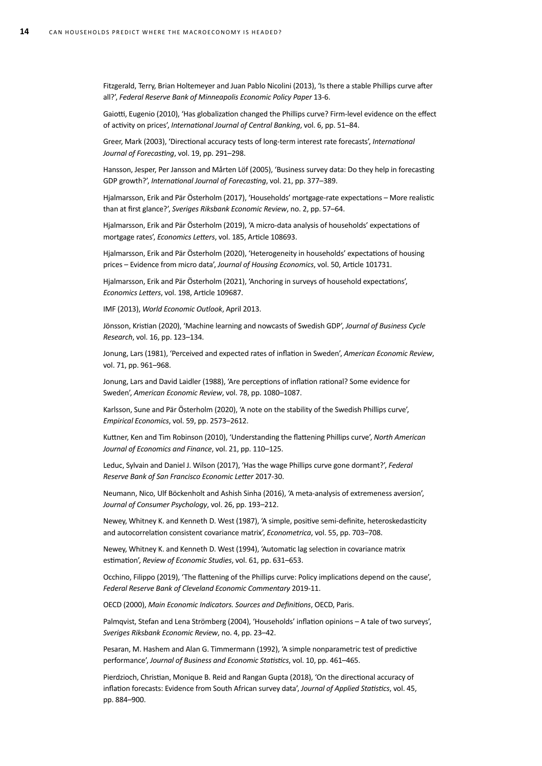Fitzgerald, Terry, Brian Holtemeyer and Juan Pablo Nicolini (2013), 'Is there a stable Phillips curve after all?', *Federal Reserve Bank of Minneapolis Economic Policy Paper* 13-6.

Gaiotti, Eugenio (2010), 'Has globalization changed the Phillips curve? Firm-level evidence on the effect of activity on prices', *International Journal of Central Banking*, vol. 6, pp. 51–84.

Greer, Mark (2003), 'Directional accuracy tests of long-term interest rate forecasts', *International Journal of Forecasting*, vol. 19, pp. 291–298.

Hansson, Jesper, Per Jansson and Mårten Löf (2005), 'Business survey data: Do they help in forecasting GDP growth?', *International Journal of Forecasting*, vol. 21, pp. 377–389.

Hjalmarsson, Erik and Pär Österholm (2017), 'Households' mortgage-rate expectations – More realistic than at first glance?', *Sveriges Riksbank Economic Review*, no. 2, pp. 57–64.

Hjalmarsson, Erik and Pär Österholm (2019), 'A micro-data analysis of households' expectations of mortgage rates', *Economics Letters*, vol. 185, Article 108693.

Hjalmarsson, Erik and Pär Österholm (2020), 'Heterogeneity in households' expectations of housing prices – Evidence from micro data', *Journal of Housing Economics*, vol. 50, Article 101731.

Hjalmarsson, Erik and Pär Österholm (2021), 'Anchoring in surveys of household expectations', *Economics Letters*, vol. 198, Article 109687.

IMF (2013), *World Economic Outlook*, April 2013.

Jönsson, Kristian (2020), 'Machine learning and nowcasts of Swedish GDP', *Journal of Business Cycle Research*, vol. 16, pp. 123–134.

Jonung, Lars (1981), 'Perceived and expected rates of inflation in Sweden', *American Economic Review*, vol. 71, pp. 961–968.

Jonung, Lars and David Laidler (1988), 'Are perceptions of inflation rational? Some evidence for Sweden', *American Economic Review*, vol. 78, pp. 1080–1087.

Karlsson, Sune and Pär Österholm (2020), 'A note on the stability of the Swedish Phillips curve', *Empirical Economics*, vol. 59, pp. 2573–2612.

Kuttner, Ken and Tim Robinson (2010), 'Understanding the flattening Phillips curve', *North American Journal of Economics and Finance*, vol. 21, pp. 110–125.

Leduc, Sylvain and Daniel J. Wilson (2017), 'Has the wage Phillips curve gone dormant?', *Federal Reserve Bank of San Francisco Economic Letter* 2017-30.

Neumann, Nico, Ulf Böckenholt and Ashish Sinha (2016), 'A meta-analysis of extremeness aversion', *Journal of Consumer Psychology*, vol. 26, pp. 193–212.

Newey, Whitney K. and Kenneth D. West (1987), 'A simple, positive semi-definite, heteroskedasticity and autocorrelation consistent covariance matrix', *Econometrica*, vol. 55, pp. 703–708.

Newey, Whitney K. and Kenneth D. West (1994), 'Automatic lag selection in covariance matrix estimation', *Review of Economic Studies*, vol. 61, pp. 631–653.

Occhino, Filippo (2019), 'The flattening of the Phillips curve: Policy implications depend on the cause', *Federal Reserve Bank of Cleveland Economic Commentary* 2019-11.

OECD (2000), *Main Economic Indicators. Sources and Definitions*, OECD, Paris.

Palmqvist, Stefan and Lena Strömberg (2004), 'Households' inflation opinions – A tale of two surveys', *Sveriges Riksbank Economic Review*, no. 4, pp. 23–42.

Pesaran, M. Hashem and Alan G. Timmermann (1992), 'A simple nonparametric test of predictive performance', *Journal of Business and Economic Statistics*, vol. 10, pp. 461–465.

Pierdzioch, Christian, Monique B. Reid and Rangan Gupta (2018), 'On the directional accuracy of inflation forecasts: Evidence from South African survey data', *Journal of Applied Statistics*, vol. 45, pp. 884–900.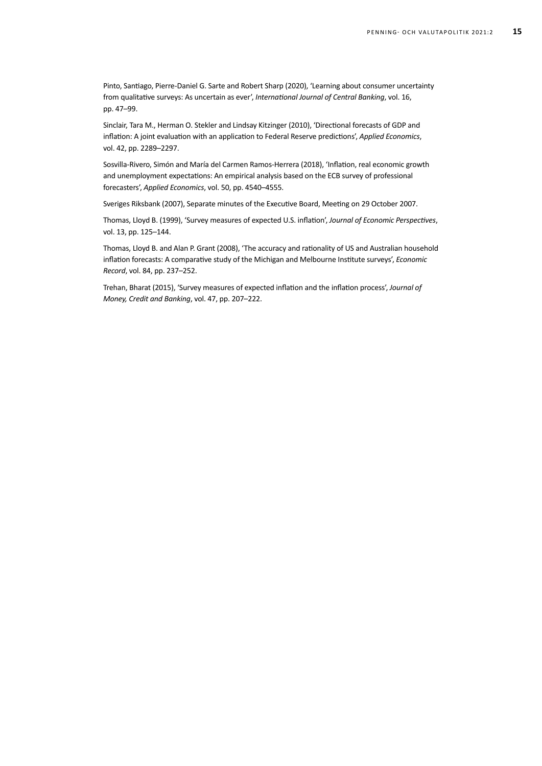Pinto, Santiago, Pierre-Daniel G. Sarte and Robert Sharp (2020), 'Learning about consumer uncertainty from qualitative surveys: As uncertain as ever', *International Journal of Central Banking*, vol. 16, pp. 47–99.

Sinclair, Tara M., Herman O. Stekler and Lindsay Kitzinger (2010), 'Directional forecasts of GDP and inflation: A joint evaluation with an application to Federal Reserve predictions', *Applied Economics*, vol. 42, pp. 2289–2297.

Sosvilla-Rivero, Simón and María del Carmen Ramos-Herrera (2018), 'Inflation, real economic growth and unemployment expectations: An empirical analysis based on the ECB survey of professional forecasters', *Applied Economics*, vol. 50, pp. 4540–4555.

Sveriges Riksbank (2007), Separate minutes of the Executive Board, Meeting on 29 October 2007.

Thomas, Lloyd B. (1999), 'Survey measures of expected U.S. inflation', *Journal of Economic Perspectives*, vol. 13, pp. 125–144.

Thomas, Lloyd B. and Alan P. Grant (2008), 'The accuracy and rationality of US and Australian household inflation forecasts: A comparative study of the Michigan and Melbourne Institute surveys', *Economic Record*, vol. 84, pp. 237–252.

Trehan, Bharat (2015), 'Survey measures of expected inflation and the inflation process', *Journal of Money, Credit and Banking*, vol. 47, pp. 207–222.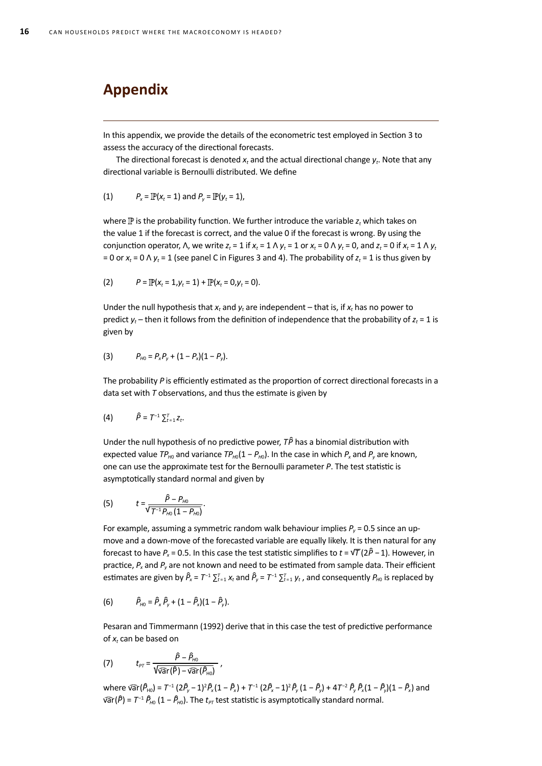# **Appendix**

In this appendix, we provide the details of the econometric test employed in Section 3 to assess the accuracy of the directional forecasts.

The directional forecast is denoted  $x_t$  and the actual directional change  $y_t$ . Note that any directional variable is Bernoulli distributed. We define

(1) 
$$
P_x = \mathbb{P}(x_t = 1)
$$
 and  $P_y = \mathbb{P}(y_t = 1)$ ,

where  $\mathbb P$  is the probability function. We further introduce the variable  $z_t$  which takes on the value 1 if the forecast is correct, and the value 0 if the forecast is wrong. By using the conjunction operator, Λ, we write  $z_t = 1$  if  $x_t = 1 \wedge y_t = 1$  or  $x_t = 0 \wedge y_t = 0$ , and  $z_t = 0$  if  $x_t = 1 \wedge y_t$ = 0 or  $x_t$  = 0  $\wedge$   $y_t$  = 1 (see panel C in Figures 3 and 4). The probability of  $z_t$  = 1 is thus given by

(2) 
$$
P = \mathbb{P}(x_t = 1, y_t = 1) + \mathbb{P}(x_t = 0, y_t = 0).
$$

Under the null hypothesis that  $x_t$  and  $y_t$  are independent – that is, if  $x_t$  has no power to predict  $y_t$  – then it follows from the definition of independence that the probability of  $z_t$  = 1 is given by

(3) 
$$
P_{H0} = P_x P_y + (1 - P_x)(1 - P_y).
$$

The probability *P* is efficiently estimated as the proportion of correct directional forecasts in a data set with *T* observations, and thus the estimate is given by

$$
(4) \qquad \hat{P}=T^{-1}\sum_{t=1}^{T}Z_{t}.
$$

Under the null hypothesis of no predictive power, *TP* ̂ has a binomial distribution with expected value  $TP_{H0}$  and variance  $TP_{H0}(1 - P_{H0})$ . In the case in which  $P_x$  and  $P_y$  are known, one can use the approximate test for the Bernoulli parameter *P*. The test statistic is asymptotically standard normal and given by

(5) 
$$
t = \frac{\hat{P} - P_{H0}}{\sqrt{T^{-1} P_{H0} (1 - P_{H0})}}.
$$

For example, assuming a symmetric random walk behaviour implies  $P_v$  = 0.5 since an upmove and a down-move of the forecasted variable are equally likely. It is then natural for any forecast to have *Px* = 0.5. In this case the test statistic simplifies to *t* = √*T* (2*P*̂ − 1). However, in practice,  $P_x$  and  $P_y$  are not known and need to be estimated from sample data. Their efficient estimates are given by *P*̂ *<sup>x</sup>* = *T*−1 ∑*<sup>T</sup> <sup>t</sup>*= 1 *xt* and *P*̂ *<sup>y</sup>* = *T*−1 ∑*<sup>T</sup> <sup>t</sup>*= 1 *yt* , and consequently *PH*0 is replaced by

(6) 
$$
\hat{P}_{H0} = \hat{P}_x \hat{P}_y + (1 - \hat{P}_x)(1 - \hat{P}_y).
$$

Pesaran and Timmermann (1992) derive that in this case the test of predictive performance of *xt* can be based on

(7) 
$$
t_{\rho\tau} = \frac{\hat{P} - \hat{P}_{H0}}{\sqrt{\widehat{var}(\hat{P}) - \widehat{var}(\hat{P}_{H0})}} ,
$$

where var $(\widehat{P}_{H0}) = T^{-1} (2\widehat{P}_{y} - 1)^2 \widehat{P}_{x} (1 - \widehat{P}_{x}) + T^{-1} (2\widehat{P}_{x} - 1)^2 \widehat{P}_{y} (1 - \widehat{P}_{y}) + 4T^{-2} \widehat{P}_{y} \widehat{P}_{x} (1 - \widehat{P}_{y}) (1 - \widehat{P}_{x})$  and ̂  $\widehat{var}(\widehat{P}) = T^{-1} \widehat{P}_{H0} (1 - \widehat{P}_{H0})$ . The  $t_{PT}$  test statistic is asymptotically standard normal. ̂